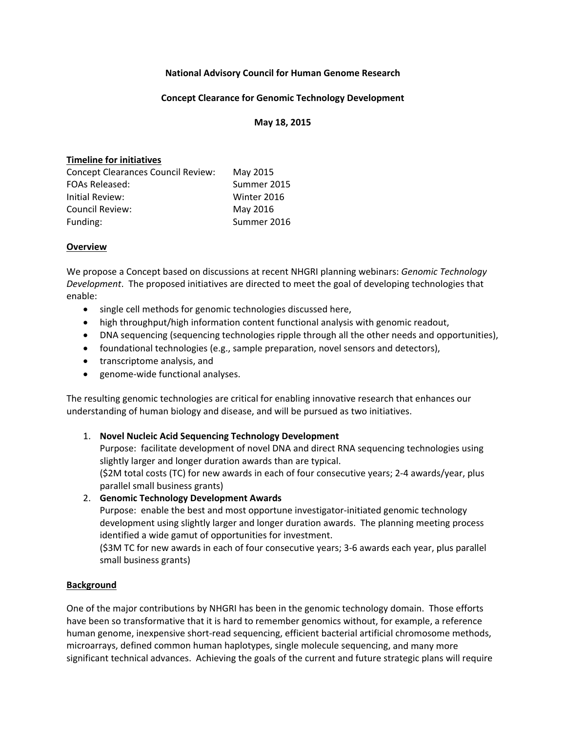## **National Advisory Council for Human Genome Research**

#### **Concept Clearance for Genomic Technology Development**

#### **May 18, 2015**

#### **Timeline for initiatives**

| May 2015    |
|-------------|
| Summer 2015 |
| Winter 2016 |
| May 2016    |
| Summer 2016 |
|             |

#### **Overview**

We propose a Concept based on discussions at recent NHGRI planning webinars: *Genomic Technology Development*. The proposed initiatives are directed to meet the goal of developing technologies that enable:

- single cell methods for genomic technologies discussed here,
- high throughput/high information content functional analysis with genomic readout,
- DNA sequencing (sequencing technologies ripple through all the other needs and opportunities),
- foundational technologies (e.g., sample preparation, novel sensors and detectors),
- transcriptome analysis, and
- genome-wide functional analyses.

The resulting genomic technologies are critical for enabling innovative research that enhances our understanding of human biology and disease, and will be pursued as two initiatives.

## 1. **Novel Nucleic Acid Sequencing Technology Development**

Purpose: facilitate development of novel DNA and direct RNA sequencing technologies using slightly larger and longer duration awards than are typical.

(\$2M total costs (TC) for new awards in each of four consecutive years; 2‐4 awards/year, plus parallel small business grants)

2. **Genomic Technology Development Awards**

Purpose: enable the best and most opportune investigator-initiated genomic technology development using slightly larger and longer duration awards. The planning meeting process identified a wide gamut of opportunities for investment.

(\$3M TC for new awards in each of four consecutive years; 3‐6 awards each year, plus parallel small business grants)

## **Background**

One of the major contributions by NHGRI has been in the genomic technology domain. Those efforts have been so transformative that it is hard to remember genomics without, for example, a reference human genome, inexpensive short-read sequencing, efficient bacterial artificial chromosome methods, microarrays, defined common human haplotypes, single molecule sequencing, and many more significant technical advances. Achieving the goals of the current and future strategic plans will require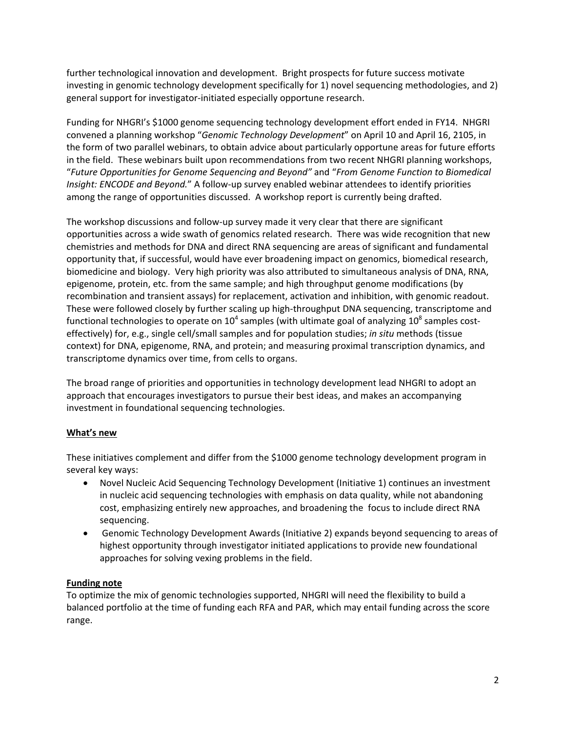further technological innovation and development. Bright prospects for future success motivate investing in genomic technology development specifically for 1) novel sequencing methodologies, and 2) general support for investigator‐initiated especially opportune research.

Funding for NHGRI's \$1000 genome sequencing technology development effort ended in FY14. NHGRI convened a planning workshop "*Genomic Technology Development*" on April 10 and April 16, 2105, in the form of two parallel webinars, to obtain advice about particularly opportune areas for future efforts in the field. These webinars built upon recommendations from two recent NHGRI planning workshops, "*Future Opportunities for Genome Sequencing and Beyond"* and "*From Genome Function to Biomedical Insight: ENCODE and Beyond.*" A follow‐up survey enabled webinar attendees to identify priorities among the range of opportunities discussed. A workshop report is currently being drafted.

The workshop discussions and follow‐up survey made it very clear that there are significant opportunities across a wide swath of genomics related research. There was wide recognition that new chemistries and methods for DNA and direct RNA sequencing are areas of significant and fundamental opportunity that, if successful, would have ever broadening impact on genomics, biomedical research, biomedicine and biology. Very high priority was also attributed to simultaneous analysis of DNA, RNA, epigenome, protein, etc. from the same sample; and high throughput genome modifications (by recombination and transient assays) for replacement, activation and inhibition, with genomic readout. These were followed closely by further scaling up high‐throughput DNA sequencing, transcriptome and functional technologies to operate on  $10^4$  samples (with ultimate goal of analyzing  $10^8$  samples costeffectively) for, e.g., single cell/small samples and for population studies; *in situ* methods (tissue context) for DNA, epigenome, RNA, and protein; and measuring proximal transcription dynamics, and transcriptome dynamics over time, from cells to organs.

The broad range of priorities and opportunities in technology development lead NHGRI to adopt an approach that encourages investigators to pursue their best ideas, and makes an accompanying investment in foundational sequencing technologies.

# **What's new**

These initiatives complement and differ from the \$1000 genome technology development program in several key ways:

- Novel Nucleic Acid Sequencing Technology Development (Initiative 1) continues an investment in nucleic acid sequencing technologies with emphasis on data quality, while not abandoning cost, emphasizing entirely new approaches, and broadening the focus to include direct RNA sequencing.
- Genomic Technology Development Awards (Initiative 2) expands beyond sequencing to areas of highest opportunity through investigator initiated applications to provide new foundational approaches for solving vexing problems in the field.

## **Funding note**

To optimize the mix of genomic technologies supported, NHGRI will need the flexibility to build a balanced portfolio at the time of funding each RFA and PAR, which may entail funding across the score range.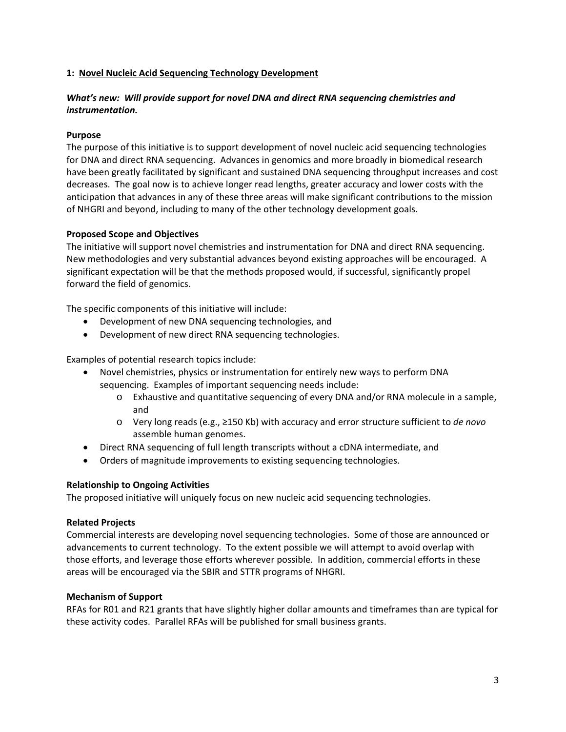## **1: Novel Nucleic Acid Sequencing Technology Development**

# *What's new: Will provide support for novel DNA and direct RNA sequencing chemistries and instrumentation.*

# **Purpose**

The purpose of this initiative is to support development of novel nucleic acid sequencing technologies for DNA and direct RNA sequencing. Advances in genomics and more broadly in biomedical research have been greatly facilitated by significant and sustained DNA sequencing throughput increases and cost decreases. The goal now is to achieve longer read lengths, greater accuracy and lower costs with the anticipation that advances in any of these three areas will make significant contributions to the mission of NHGRI and beyond, including to many of the other technology development goals.

# **Proposed Scope and Objectives**

The initiative will support novel chemistries and instrumentation for DNA and direct RNA sequencing. New methodologies and very substantial advances beyond existing approaches will be encouraged. A significant expectation will be that the methods proposed would, if successful, significantly propel forward the field of genomics.

The specific components of this initiative will include:

- Development of new DNA sequencing technologies, and
- Development of new direct RNA sequencing technologies.

Examples of potential research topics include:

- Novel chemistries, physics or instrumentation for entirely new ways to perform DNA sequencing. Examples of important sequencing needs include:
	- o Exhaustive and quantitative sequencing of every DNA and/or RNA molecule in a sample, and
	- o Very long reads (e.g., ≥150 Kb) with accuracy and error structure sufficient to *de novo* assemble human genomes.
- Direct RNA sequencing of full length transcripts without a cDNA intermediate, and
- Orders of magnitude improvements to existing sequencing technologies.

## **Relationship to Ongoing Activities**

The proposed initiative will uniquely focus on new nucleic acid sequencing technologies.

## **Related Projects**

Commercial interests are developing novel sequencing technologies. Some of those are announced or advancements to current technology. To the extent possible we will attempt to avoid overlap with those efforts, and leverage those efforts wherever possible. In addition, commercial efforts in these areas will be encouraged via the SBIR and STTR programs of NHGRI.

## **Mechanism of Support**

RFAs for R01 and R21 grants that have slightly higher dollar amounts and timeframes than are typical for these activity codes. Parallel RFAs will be published for small business grants.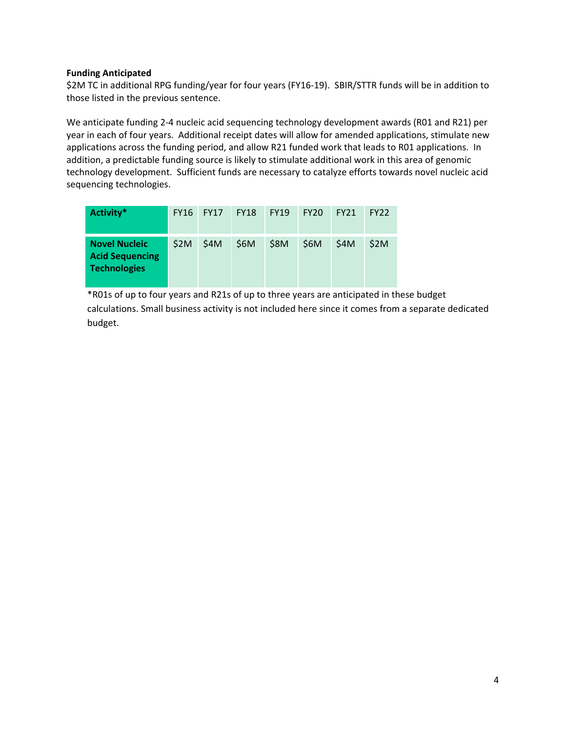## **Funding Anticipated**

\$2M TC in additional RPG funding/year for four years (FY16‐19). SBIR/STTR funds will be in addition to those listed in the previous sentence.

We anticipate funding 2‐4 nucleic acid sequencing technology development awards (R01 and R21) per year in each of four years. Additional receipt dates will allow for amended applications, stimulate new applications across the funding period, and allow R21 funded work that leads to R01 applications. In addition, a predictable funding source is likely to stimulate additional work in this area of genomic technology development. Sufficient funds are necessary to catalyze efforts towards novel nucleic acid sequencing technologies.

| Activity*                                                             | <b>FY16</b> | <b>FY17</b> | <b>FY18</b> | <b>FY19</b> | FY20 | <b>FY21</b> | <b>FY22</b> |
|-----------------------------------------------------------------------|-------------|-------------|-------------|-------------|------|-------------|-------------|
| <b>Novel Nucleic</b><br><b>Acid Sequencing</b><br><b>Technologies</b> | \$2M        | \$4M        | \$6M        | <b>\$8M</b> | \$6M | \$4M        | \$2M        |

\*R01s of up to four years and R21s of up to three years are anticipated in these budget calculations. Small business activity is not included here since it comes from a separate dedicated budget.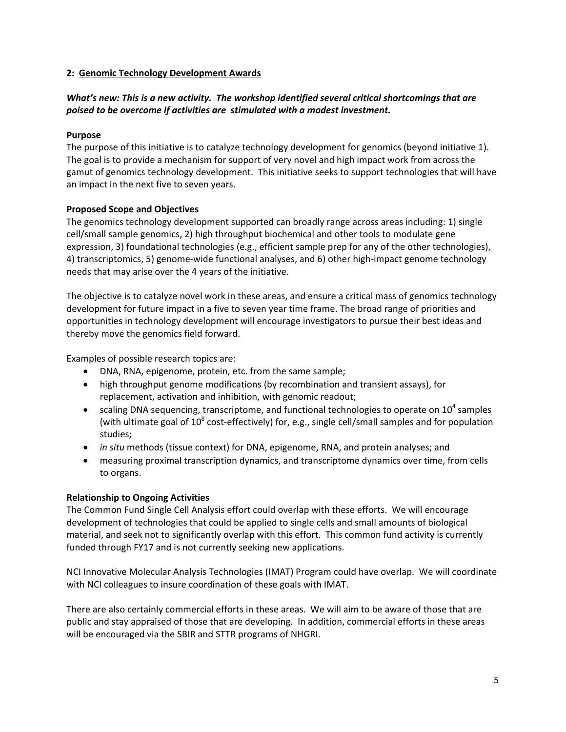## **2: Genomic Technology Development Awards**

# *What's new: This is a new activity. The workshop identified several critical shortcomings that are poised to be overcome if activities are stimulated with a modest investment.*

## **Purpose**

The purpose of this initiative is to catalyze technology development for genomics (beyond initiative 1). The goal is to provide a mechanism for support of very novel and high impact work from across the gamut of genomics technology development. This initiative seeks to support technologies that will have an impact in the next five to seven years.

#### **Proposed Scope and Objectives**

The genomics technology development supported can broadly range across areas including: 1) single cell/small sample genomics, 2) high throughput biochemical and other tools to modulate gene expression, 3) foundational technologies (e.g., efficient sample prep for any of the other technologies), 4) transcriptomics, 5) genome-wide functional analyses, and 6) other high-impact genome technology needs that may arise over the 4 years of the initiative.

The objective is to catalyze novel work in these areas, and ensure a critical mass of genomics technology development for future impact in a five to seven year time frame. The broad range of priorities and opportunities in technology development will encourage investigators to pursue their best ideas and thereby move the genomics field forward.

Examples of possible research topics are:

- DNA, RNA, epigenome, protein, etc. from the same sample;
- high throughput genome modifications (by recombination and transient assays), for replacement, activation and inhibition, with genomic readout;
- scaling DNA sequencing, transcriptome, and functional technologies to operate on  $10^4$  samples (with ultimate goal of  $10^8$  cost-effectively) for, e.g., single cell/small samples and for population studies;
- *in situ* methods (tissue context) for DNA, epigenome, RNA, and protein analyses; and
- measuring proximal transcription dynamics, and transcriptome dynamics over time, from cells to organs.

## **Relationship to Ongoing Activities**

The Common Fund Single Cell Analysis effort could overlap with these efforts. We will encourage development of technologies that could be applied to single cells and small amounts of biological material, and seek not to significantly overlap with this effort. This common fund activity is currently funded through FY17 and is not currently seeking new applications.

NCI Innovative Molecular Analysis Technologies (IMAT) Program could have overlap. We will coordinate with NCI colleagues to insure coordination of these goals with IMAT.

There are also certainly commercial efforts in these areas. We will aim to be aware of those that are public and stay appraised of those that are developing. In addition, commercial efforts in these areas will be encouraged via the SBIR and STTR programs of NHGRI.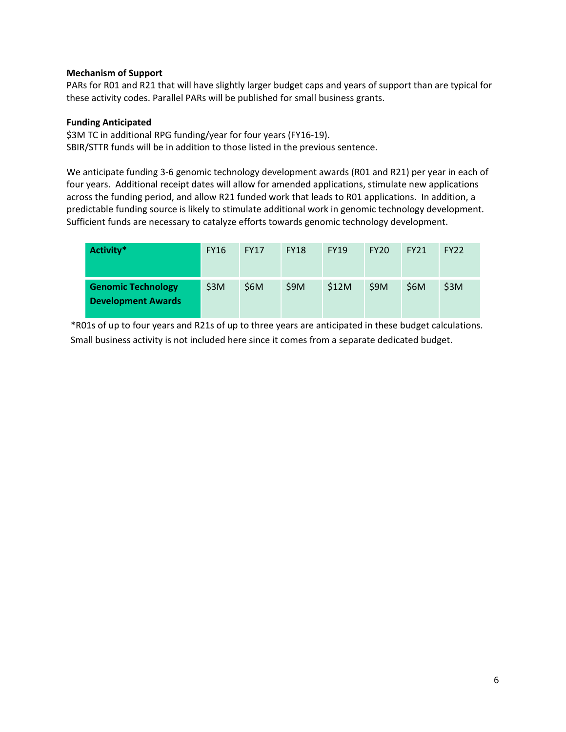## **Mechanism of Support**

PARs for R01 and R21 that will have slightly larger budget caps and years of support than are typical for these activity codes. Parallel PARs will be published for small business grants.

#### **Funding Anticipated**

\$3M TC in additional RPG funding/year for four years (FY16‐19). SBIR/STTR funds will be in addition to those listed in the previous sentence.

We anticipate funding 3‐6 genomic technology development awards (R01 and R21) per year in each of four years. Additional receipt dates will allow for amended applications, stimulate new applications across the funding period, and allow R21 funded work that leads to R01 applications. In addition, a predictable funding source is likely to stimulate additional work in genomic technology development. Sufficient funds are necessary to catalyze efforts towards genomic technology development.

| Activity*                                              | <b>FY16</b> | <b>FY17</b> | <b>FY18</b> | <b>FY19</b> | <b>FY20</b> | <b>FY21</b> | <b>FY22</b> |
|--------------------------------------------------------|-------------|-------------|-------------|-------------|-------------|-------------|-------------|
| <b>Genomic Technology</b><br><b>Development Awards</b> | \$3M        | \$6M        | \$9M        | \$12M       | \$9M        | \$6M        | \$3M        |

\*R01s of up to four years and R21s of up to three years are anticipated in these budget calculations. Small business activity is not included here since it comes from a separate dedicated budget.